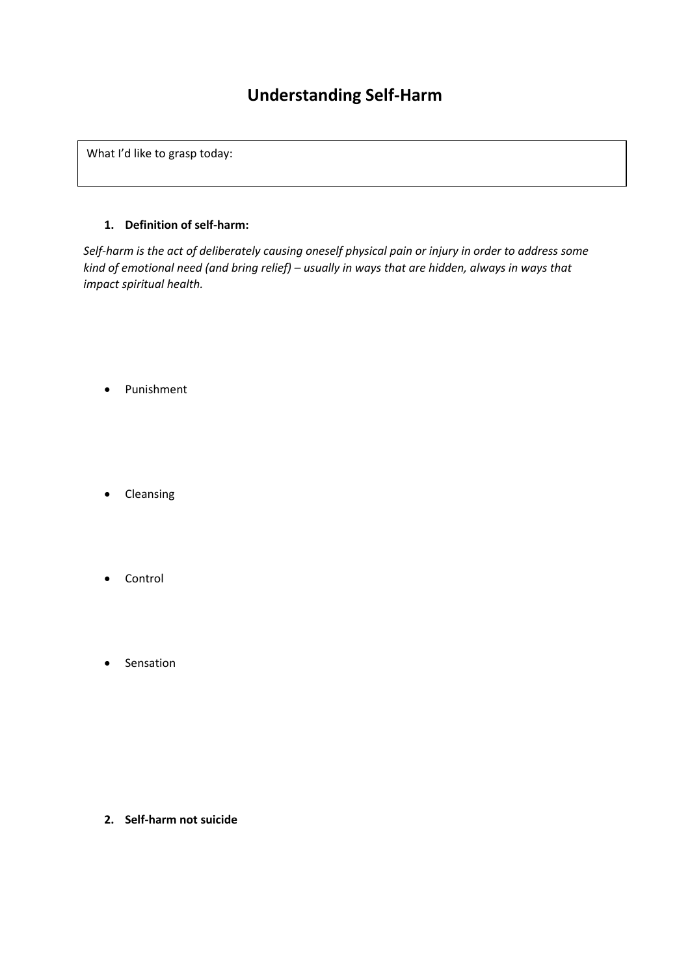# **Understanding Self-Harm**

What I'd like to grasp today:

# **1. Definition of self-harm:**

*Self-harm is the act of deliberately causing oneself physical pain or injury in order to address some kind of emotional need (and bring relief) – usually in ways that are hidden, always in ways that impact spiritual health.* 

- Punishment
- Cleansing
- Control
- Sensation

**2. Self-harm not suicide**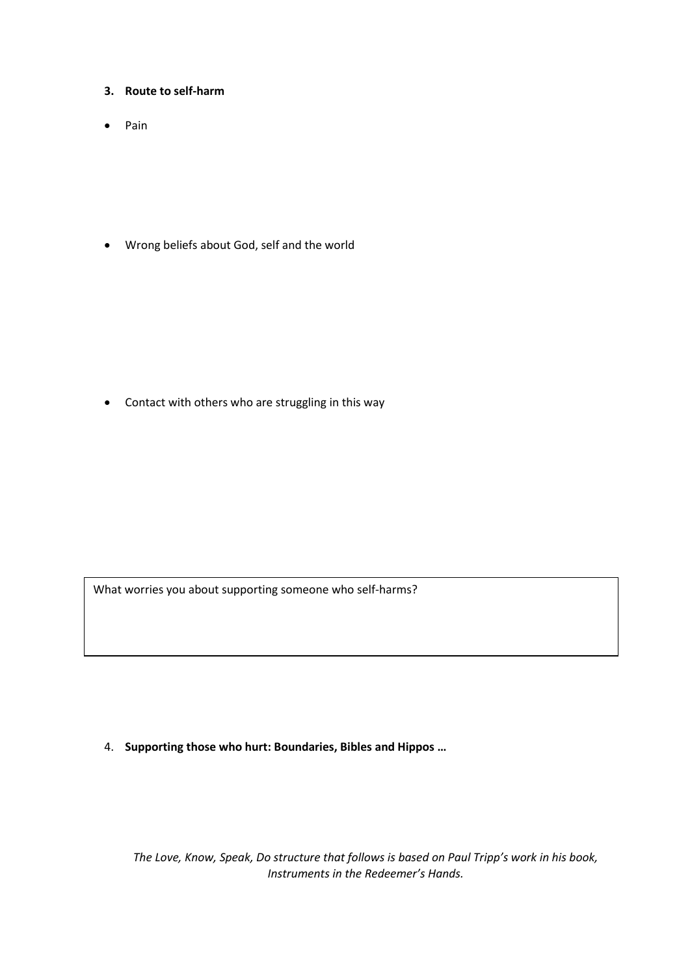- **3. Route to self-harm**
- $\bullet$  Pain

Wrong beliefs about God, self and the world

Contact with others who are struggling in this way

What worries you about supporting someone who self-harms?

4. **Supporting those who hurt: Boundaries, Bibles and Hippos …** 

*The Love, Know, Speak, Do structure that follows is based on Paul Tripp's work in his book, Instruments in the Redeemer's Hands.*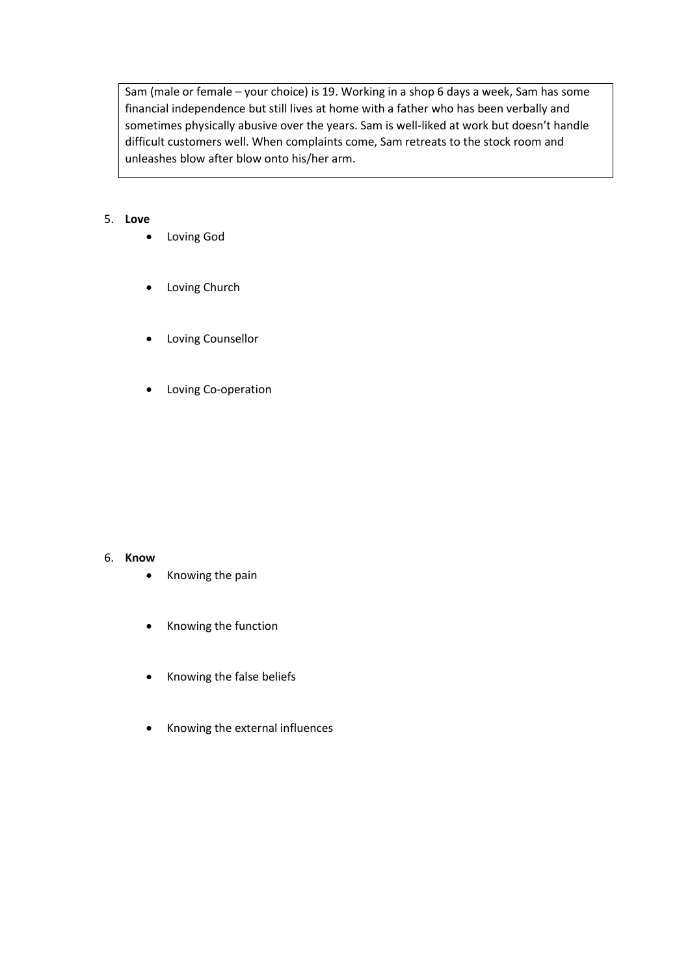Sam (male or female – your choice) is 19. Working in a shop 6 days a week, Sam has some financial independence but still lives at home with a father who has been verbally and sometimes physically abusive over the years. Sam is well-liked at work but doesn't handle difficult customers well. When complaints come, Sam retreats to the stock room and unleashes blow after blow onto his/her arm.

# 5. **Love**

- Loving God
- Loving Church
- Loving Counsellor
- Loving Co-operation

## 6. **Know**

- Knowing the pain
- Knowing the function
- Knowing the false beliefs
- Knowing the external influences